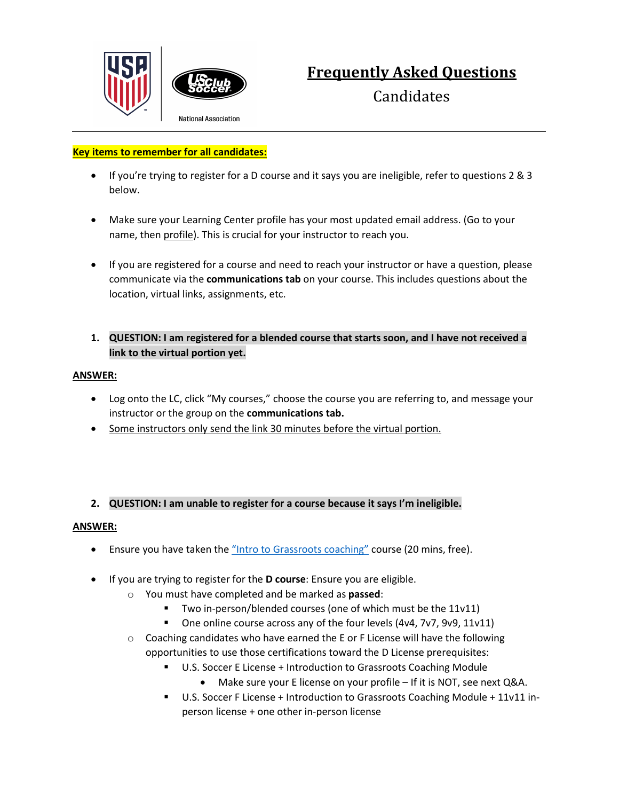



# **Frequently Asked Questions**

**Candidates** 

**National Association** 

## **Key items to remember for all candidates:**

- If you're trying to register for a D course and it says you are ineligible, refer to questions 2 & 3 below.
- Make sure your Learning Center profile has your most updated email address. (Go to your name, then profile). This is crucial for your instructor to reach you.
- If you are registered for a course and need to reach your instructor or have a question, please communicate via the **communications tab** on your course. This includes questions about the location, virtual links, assignments, etc.
- **1. QUESTION: I am registered for a blended course that starts soon, and I have not received a link to the virtual portion yet.**

## **ANSWER:**

- Log onto the LC, click "My courses," choose the course you are referring to, and message your instructor or the group on the **communications tab.**
- Some instructors only send the link 30 minutes before the virtual portion.

## **2. QUESTION: I am unable to register for a course because it says I'm ineligible.**

#### **ANSWER:**

- Ensure you have taken the ["Intro to Grassroots coaching"](https://learning.ussoccer.com/coach/courses/available/16/details/1546) course (20 mins, free).
- If you are trying to register for the **D course**: Ensure you are eligible.
	- o You must have completed and be marked as **passed**:
		- Two in-person/blended courses (one of which must be the 11v11)
		- One online course across any of the four levels (4v4, 7v7, 9v9, 11v11)
	- $\circ$  Coaching candidates who have earned the E or F License will have the following opportunities to use those certifications toward the D License prerequisites:
		- **U.S. Soccer E License + Introduction to Grassroots Coaching Module** 
			- Make sure your E license on your profile If it is NOT, see next Q&A.
		- U.S. Soccer F License + Introduction to Grassroots Coaching Module + 11v11 inperson license + one other in-person license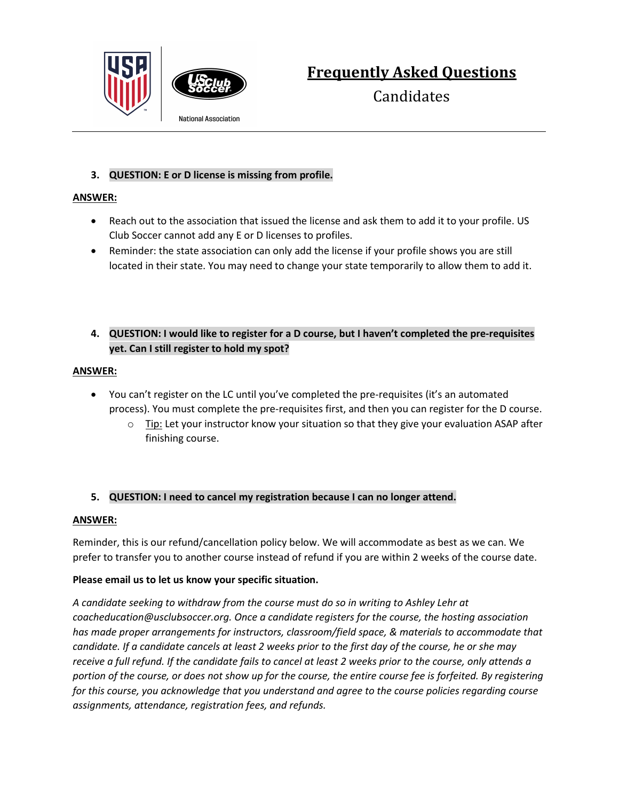



**Frequently Asked Questions**

**Candidates** 

**National Association** 

# **3. QUESTION: E or D license is missing from profile.**

## **ANSWER:**

- Reach out to the association that issued the license and ask them to add it to your profile. US Club Soccer cannot add any E or D licenses to profiles.
- Reminder: the state association can only add the license if your profile shows you are still located in their state. You may need to change your state temporarily to allow them to add it.

## **4. QUESTION: I would like to register for a D course, but I haven't completed the pre-requisites yet. Can I still register to hold my spot?**

## **ANSWER:**

- You can't register on the LC until you've completed the pre-requisites (it's an automated process). You must complete the pre-requisites first, and then you can register for the D course.
	- $\circ$  Tip: Let your instructor know your situation so that they give your evaluation ASAP after finishing course.

# **5. QUESTION: I need to cancel my registration because I can no longer attend.**

## **ANSWER:**

Reminder, this is our refund/cancellation policy below. We will accommodate as best as we can. We prefer to transfer you to another course instead of refund if you are within 2 weeks of the course date.

## **Please email us to let us know your specific situation.**

*A candidate seeking to withdraw from the course must do so in writing to Ashley Lehr at coacheducation@usclubsoccer.org. Once a candidate registers for the course, the hosting association has made proper arrangements for instructors, classroom/field space, & materials to accommodate that candidate. If a candidate cancels at least 2 weeks prior to the first day of the course, he or she may receive a full refund. If the candidate fails to cancel at least 2 weeks prior to the course, only attends a portion of the course, or does not show up for the course, the entire course fee is forfeited. By registering for this course, you acknowledge that you understand and agree to the course policies regarding course assignments, attendance, registration fees, and refunds.*